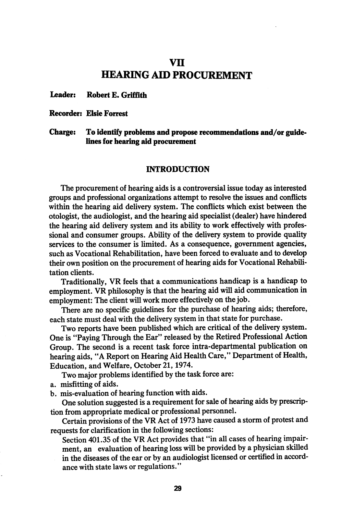# vn HEARING AID PROCUREMENT

#### Leader: Robert E. Griffith

#### Recorder: Elsie Forrest

# Charge: To identify problems and propose recommendations and/or guidelines for hearing aid procurement

### INTRODUCTION

The procurement of hearing aids is a controversial issue today as interested groups and professional organizations attempt to resolve the issues and conflicts within the hearing aid delivery system. The conflicts which exist between the otologist, the audiologist, and the hearing aid specialist (dealer) have hindered the hearing aid delivery system and its ability to work effectively with profes sional and consumer groups. Ability of the delivery system to provide quality services to the consumer is limited. As a consequence, government agencies, such as Vocational Rehabilitation, have been forced to evaluate and to develop their own position on the procurement of hearing aids for Vocational Rehabili tation clients.

Traditionally, VR feels that a communications handicap is a handicap to employment. VR philosophy is that the hearing aid will aid communication in employment: The client will work more effectively on the job.

There are no specific guidelines for the purchase of hearing aids; therefore, each state must deal with the delivery system in that state for purchase.

Two reports have been published which are critical of the delivery system. One is "Paying Through the Ear" released by the Retired Professional Action Group. The second is a recent task force intra-departmental publication on hearing aids, "A Report on Hearing Aid Health Care," Department of Health, Education, and Welfare, October 21,1974.

Two major problems identified by the task force are:

a. misfitting of aids.

b. mis-evaluation of hearing function with aids.

One solution suggested is a requirement for sale of hearing aids by prescrip tion from appropriate medical or professional personnel.

Certain provisions of the VR Act of 1973 have caused a storm of protest and requests for clarification in the following sections:

Section 401.35 of the VR Act provides that "in all cases of hearing impair ment, an evaluation of hearing loss will be provided by a physician skilled in the diseases of the ear or by an audiologist licensed or certified in accord ance with state laws or regulations."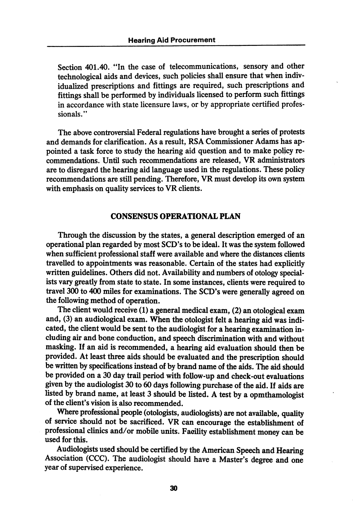Section 401.40. "In the case of telecommunications, sensory and other technological aids and devices, such policies shall ensure that when indiv idualized prescriptions and fittings are required, such prescriptions and fittings shall be performed by individuals licensed to perform such fittings in accordance with state licensure laws, or by appropriate certified profes sionals."

The above controversial Federal regulations have brought a series of protests and demands for clarification. As a result, RSA Commissioner Adams has ap pointed a task force to study the hearing aid question and to make policy re commendations. Until such recommendations are released, VR administrators are to disregard the hearing aid language used in the regulations. These policy recommendations are still pending. Therefore, VR must develop its own system with emphasis on quality services to VR clients.

### CONSENSUS OPERATIONAL PLAN

Through the discussion by the states, a general description emerged of an operational plan regarded by most SCD's to be ideal. It was the system followed when sufficient professional staff were available and where the distances clients travelled to appointments was reasonable. Certain of the states had explicitly written guidelines. Others did not. Availability and numbers of otology specialists vary greatly from state to state. In some instances, clients were required to travel 300 to 400 miles for examinations. The SCD's were generally agreed on the following method of operation.

The client would receive (1) a general medical exam, (2) an otological exam and, (3) an audiological exam. When the otologist felt a hearing aid was indi cated, the client would be sent to the audiologist for a hearing examination in cluding air and bone conduction, and speech discrimination with and without masking. If an aid is recommended, a hearing aid evaluation should then be provided. At least three aids should be evaluated and the prescription should be written by specifications instead of by brand name of the aids. The aid should be provided on a 30 day trail period with follow-up and check-out evaluations given by the audiologist 30 to 60 days following purchase of the aid. If aids are listed by brand name, at least 3 should be listed. A test by a opmthamologist of the client's vision is also recommended.

Where professional people (otologists, audiologists) are not available, quality of service should not be sacrificed. VR can encourage the establishment of professional clinics and/or mobile units. Facility establishment money can be used for this.

Audiologists used should be certified by the American Speech and Hearing Association (CCC). The audiologist should have a Master's degree and one year of supervised experience.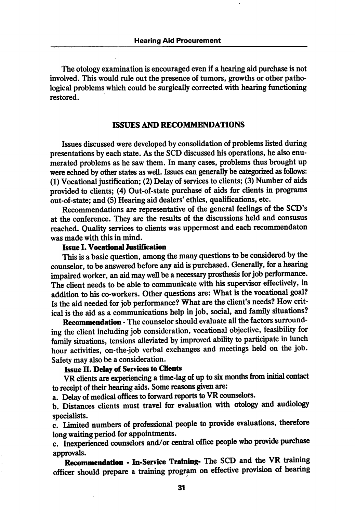The otology examination is encouraged even if a hearing aid purchase is not involved. This would rule out the presence of tumors, growths or other patho logical problems which could be surgically corrected with hearing functioning restored.

#### ISSUES AND RECOMMENDATIONS

Issues discussed were developed by consolidation of problems listed during presentations by each state. As the SCD discussed his operations, he also enu merated problems as he saw them. In many cases, problems thus brought up were echoed by other states as well. Issues can generally be categorized as follows: (1) Vocational justification; (2) Delay of services to clients; (3) Number of aids provided to clients; (4) Out-of-state purchase of aids for clients in programs out-of-state; and (5) Hearing aid dealers' ethics, qualifications, etc.

Recommendations are representative of the general feelings of the SCD's at the conference. They are the results of the discussions held and consusus reached. Quality services to clients was uppermost and each recommendaton was made with this in mind.

# Issue I. Vocattonal lustification

This is a basic question, among the many questions to be considered by the counselor, to be answered before any aid is purchased. Generally, for a hearing impaired worker, an aid may well be a necessary prosthesis for job performance. The client needs to be able to communicate with his supervisor effectively, in addition to his co-workers. Other questions are: What is the vocational goal? Is the aid needed for job performance? What are the client's needs? How crit ical is the aid as a communications help in job, social, and family situations?

Recommendation - The counselor should evaluate all the factors surrounding the client including job consideration, vocational objective, feasibility for family situations, tensions alleviated by improved ability to participate in lunch hour activities, on-the-job verbal exchanges and meetings held on the job. Safety may also be a consideration.

# Issue II. Delay of Services to Clients

VR clients are experiencing a time-lag of up to six mondis from initial contact to receipt of their hearing aids. Some reasons given are:

a. Delay of medical offices to forward reports to VR counselors.

b. Distances clients must travel for evaluation with otology and audiology specialists.

c. limited numbers of professional people to provide evaluations, therefore long waiting period for appointments.

c. Inexperienced counselors and/or central office people who provide purchase approvals.

Recommendation - In-Service Training- The SCD and the VR training officer should prepare a training program on effective provision of hearing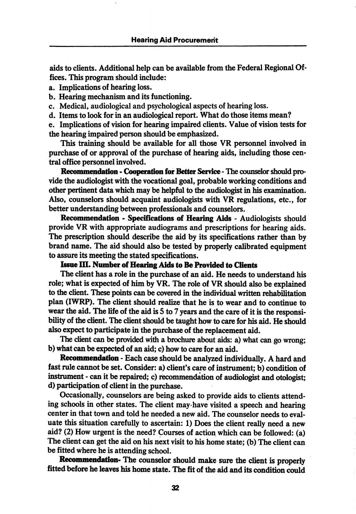aids to clients. Additional help can be available from the Federal Regional Of fices. This program should include:

- a. Implications of hearing loss.
- b. Hearing mechanism and its functioning.
- c. Medical, audiological and psychological aspects of hearing loss.
- d. Items to look for in an audiological report. What do those items mean?

e. Implications of vision for hearing impaired clients. Value of vision tests for the hearing impaired person should be emphasized.

This training should be available for all those VR personnel involved in purchase of or approval of the purchase of hearing aids, including those cen tral office personnel involved.

Recommendation - Cooperation for Better Service - The counselor should provide the audiologist with the vocational goal, probable working conditions and other pertinent data which may be helpful to the audiologist in his examination. Also, counselors should acquaint audiologists with VR regulations, etc., for better understanding between professionals and counselors.

Recommendation - Specifications of Hearing Aids - Audiologists should provide VR with appropriate audiograms and prescriptions for hearing aids. The prescription should describe the aid by its specifications rather than by brand name. The aid should also be tested by properly calibrated equipment to assure its meeting the stated specifications.

# Issue III. Number of Hearing Aids to Be Provided to Clients

The client has a role in the purchase of an aid. He needs to understand his role; what is expected of him by VR. The role of VR should also be explained to the client. These points can be covered in the individual written rehabilitation plan (IWRP). The client should realize that he is to wear and to continue to wear the aid. The life of the aid is S to 7 years and the care of it is the responsi bility of the client. The client should be taught how to care for his aid. He should also expect to participate in the purchase of the replacement aid.

The client can be provided with a brochure about aids: a) what can go wrong; b) what can be expected of an aid; c) how to care for an aid.

Recommendation - Each case should be analyzed individually. A hard and fast rule cannot be set. Consider: a) client's care of instrument; b) condition of instrument - can it be repaired; c) recommendation of audiologist and otologist; d) participation of client in the purchase.

Occasionally, counselors are being asked to provide aids to clients attend ing schools in other states. The client may-have visited a speech and hearing center in that town and told he needed a new aid. The counselor needs to eval uate this situation carefully to ascertain: 1) Does the client really need a new aid? (2) How urgent is the need? Courses of action which can be followed: (a) The client can get the aid on his next visit to his home state; (b) The client can be fitted where he is attending school.

Recommendation- The counselor should make sure the client is properly fitted before he leaves his home state. The fit of the aid and its condition could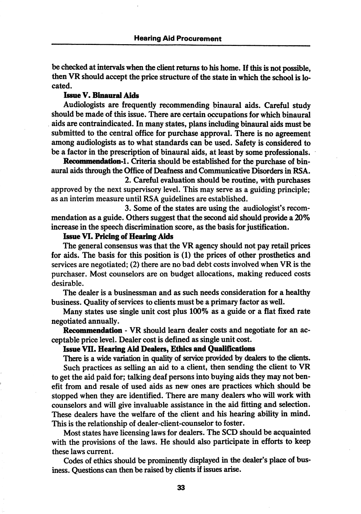be checked at intervals when the client returns to his home. If Ihis is not possible, then VR should accept the price structure of the state in which the school is lo cated.

# Issue V. Binanral Aids

Audiologists are frequently recommending binaural aids. Careful study should be made of this issue. There are certain occupations for which binaurd aids are contraindicated. In many states, plans including binaural aids must be submitted to the central office for purchase approval. There is no agreement among audiologists as to what standards can be used. Safety is considered to be a factor in the prescription of binaural aids, at least by some professionals.

Recommendation-1. Criteria should be established for the purchase of binaural aids through the Office of Deafness and Communicative Disorders in RSA.

2. Careful evaluation should be routine, with purchases approved by the next supervisory level. This may serve as a guiding principle; as an interim measure until RSA guidelines are established.

3. Some of the states are using the audiologist's recom mendation as a guide. Others suggest that the second aid should provide a 20% increase in the speech discrimination score, as the basis for justification.

## Issue VI. Pricing of Hearing Aids

The general consensus was that the VR agency should not pay retail prices for aids. The basis for this position is (1) the prices of other prosthetics and services are negotiated; (2) there are no bad debt costs involved when VR is the purchaser. Most counselors are on budget allocations, making reduced costs desirable.

The dealer is a businessman and as such needs consideration for a healthy business. Quality of services to clients must be a primary factor as well.

Many states use single unit cost plus 100% as a guide or a flat fixed rate negotiated annually.

Recommendation - VR should leam dealer costs and negotiate for an ac ceptable price level. Dealer cost is defined as single unit cost.

#### Issue VII. Hearing Aid Dealers, Ethics and Qualifications

There is a wide variation in quality of service provided by dealers to the clients. Such practices as selling an aid to a client, then sending the client to VR to get the aid paid for; talking deaf persons into buying aids they may not ben efit from and resale of used aids as new ones are practices which should be stopped when they are identified. There are many dealers who will work with counselors and will give invaluable assistance in the aid fitting and selection. These dealers have the welfare of the client and his hearing ability in mind. This is the relationship of dealer-client-counselor to foster.

Most states have licensing laws for dealers. The SCD should be acquainted with the provisions of the laws. He should also participate in efforts to keep these laws current.

Codes of ethics should be prominently displayed in the dealer's place of bus iness. Questions can then be raised by clients if issues arise.